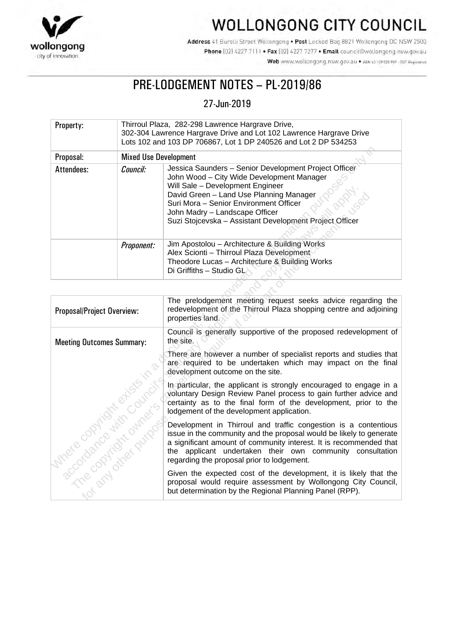

# WOLLONGONG CITY COUNCIL

Address 41 Burelli Street Wollongong . Post Locked Bag 8821 Wollongong DC NSW 2500 Phone (02) 4227 7111 . Fax (02) 4227 7277 . Email council@wollongong.nsw.gov.au Web www.wollongong.nsw.gov.au • ABN 63139 525 939 - GST Registered

# PRE-LODGEMENT NOTES – PL-2019/86

## 27-Jun-2019

| Property:  |                              | Thirroul Plaza, 282-298 Lawrence Hargrave Drive,<br>302-304 Lawrence Hargrave Drive and Lot 102 Lawrence Hargrave Drive<br>Lots 102 and 103 DP 706867, Lot 1 DP 240526 and Lot 2 DP 534253                                                                                                                               |  |
|------------|------------------------------|--------------------------------------------------------------------------------------------------------------------------------------------------------------------------------------------------------------------------------------------------------------------------------------------------------------------------|--|
| Proposal:  | <b>Mixed Use Development</b> |                                                                                                                                                                                                                                                                                                                          |  |
| Attendees: | Council:                     | Jessica Saunders - Senior Development Project Officer<br>John Wood - City Wide Development Manager<br>Will Sale - Development Engineer<br>David Green - Land Use Planning Manager<br>Suri Mora - Senior Environment Officer<br>John Madry - Landscape Officer<br>Suzi Stojcevska - Assistant Development Project Officer |  |
|            | Proponent:                   | Jim Apostolou - Architecture & Building Works<br>Alex Scionti - Thirroul Plaza Development<br>Theodore Lucas - Architecture & Building Works<br>Di Griffiths - Studio GL                                                                                                                                                 |  |

| Proposal:                                             | <b>Mixed Use Development</b> |                                                                                                                                                                                                                                                                                                                          |
|-------------------------------------------------------|------------------------------|--------------------------------------------------------------------------------------------------------------------------------------------------------------------------------------------------------------------------------------------------------------------------------------------------------------------------|
| Attendees:                                            | Council:                     | Jessica Saunders - Senior Development Project Officer<br>John Wood - City Wide Development Manager<br>Will Sale - Development Engineer<br>David Green - Land Use Planning Manager<br>Suri Mora - Senior Environment Officer<br>John Madry - Landscape Officer<br>Suzi Stojcevska - Assistant Development Project Officer |
|                                                       | Proponent:                   | Jim Apostolou - Architecture & Building Works<br>Alex Scionti - Thirroul Plaza Development<br>Theodore Lucas - Architecture & Building Works<br>Di Griffiths - Studio GL                                                                                                                                                 |
|                                                       |                              |                                                                                                                                                                                                                                                                                                                          |
| Proposal/Project Overview:                            |                              | The prelodgement meeting request seeks advice regarding the<br>redevelopment of the Thirroul Plaza shopping centre and adjoining<br>properties land.                                                                                                                                                                     |
| <b>Meeting Outcomes Summary:</b>                      |                              | Council is generally supportive of the proposed redevelopment of<br>the site.                                                                                                                                                                                                                                            |
|                                                       |                              | There are however a number of specialist reports and studies that<br>are required to be undertaken which may impact on the final<br>development outcome on the site.                                                                                                                                                     |
|                                                       |                              | In particular, the applicant is strongly encouraged to engage in a<br>voluntary Design Review Panel process to gain further advice and<br>certainty as to the final form of the development, prior to the<br>lodgement of the development application.                                                                   |
| Meridosphiantists Council<br>acculation in the summer | in and drawing               | Development in Thirroul and traffic congestion is a contentious<br>issue in the community and the proposal would be likely to generate<br>a significant amount of community interest. It is recommended that<br>the applicant undertaken their own community consultation<br>regarding the proposal prior to lodgement.  |
|                                                       |                              | Given the expected cost of the development, it is likely that the<br>proposal would require assessment by Wollongong City Council,<br>but determination by the Regional Planning Panel (RPP).                                                                                                                            |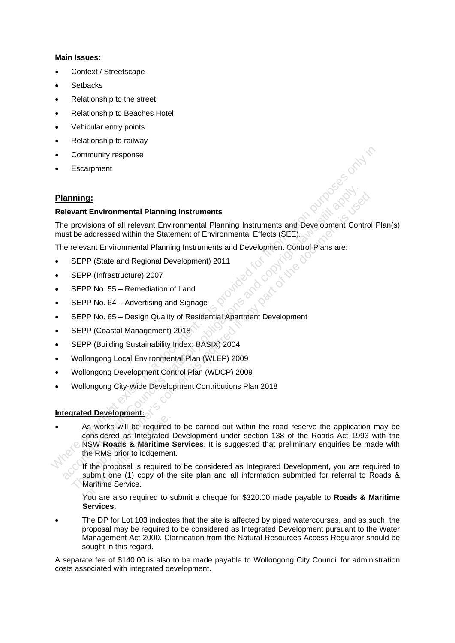#### **Main Issues:**

- Context / Streetscape
- **Setbacks**
- Relationship to the street
- Relationship to Beaches Hotel
- Vehicular entry points
- Relationship to railway
- Community response
- **Escarpment**

### **Planning:**

#### **Relevant Environmental Planning Instruments**

The provisions of all relevant Environmental Planning Instruments and Development Control Plan(s) must be addressed within the Statement of Environmental Effects (SEE).

The relevant Environmental Planning Instruments and Development Control Plans are:

- SEPP (State and Regional Development) 2011
- SEPP (Infrastructure) 2007
- SEPP No. 55 Remediation of Land
- SEPP No. 64 Advertising and Signage
- SEPP No. 65 Design Quality of Residential Apartment Development
- SEPP (Coastal Management) 2018
- SEPP (Building Sustainability Index: BASIX) 2004
- Wollongong Local Environmental Plan (WLEP) 2009
- Wollongong Development Control Plan (WDCP) 2009
- Wollongong City-Wide Development Contributions Plan 2018

#### **Integrated Development:**

• As works will be required to be carried out within the road reserve the application may be considered as Integrated Development under section 138 of the Roads Act 1993 with the NSW **Roads & Maritime Services**. It is suggested that preliminary enquiries be made with the RMS prior to lodgement. Community response<br>
Manning:<br>
Nelevant Environmental Planning Instruments<br>
The provisions of all relevant Environmental Planning Instruments and Development Control P<br>
must be addressed within the Statement of Environmenta **anning:**<br> **according the annual Planning Instruments**<br>
The provisions of all relevant Environmental Planning Instruments and Development Control<br>
The relevant Environmental Planning Instrumental Effects (SEE).<br>
SEPP (Stat **Exame Entimal Planning Instruments**<br>
The provisions of all relevant Environmental Planning Instruments and Development Control<br>
the addressed within the Statement of Environmental Effects (SEE).<br>
The republic of the any p As works will be required<br>considered as Integrated<br>NSW Roads & Maritime<br>the RMS prior to lodgement<br>If the proposal is required<br>submit one (1) copy of the Maritime Service.<br>You are also required to :

If the proposal is required to be considered as Integrated Development, you are required to submit one (1) copy of the site plan and all information submitted for referral to Roads & Maritime Service.

You are also required to submit a cheque for \$320.00 made payable to **Roads & Maritime Services.**

• The DP for Lot 103 indicates that the site is affected by piped watercourses, and as such, the proposal may be required to be considered as Integrated Development pursuant to the Water Management Act 2000. Clarification from the Natural Resources Access Regulator should be sought in this regard.

A separate fee of \$140.00 is also to be made payable to Wollongong City Council for administration costs associated with integrated development.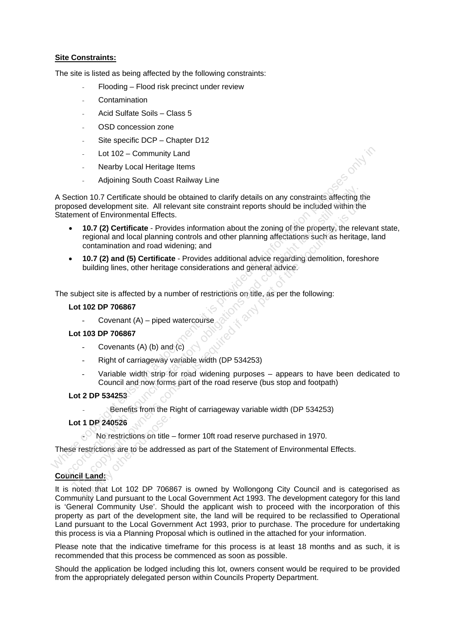#### **Site Constraints:**

The site is listed as being affected by the following constraints:

- Flooding Flood risk precinct under review
- **Contamination**
- Acid Sulfate Soils Class 5
- OSD concession zone
- Site specific DCP Chapter D12
- Lot 102 Community Land
- Nearby Local Heritage Items
- Adioining South Coast Railway Line

A Section 10.7 Certificate should be obtained to clarify details on any constraints affecting the proposed development site. All relevant site constraint reports should be included within the Statement of Environmental Effects.

- **10.7 (2) Certificate** Provides information about the zoning of the property, the relevant state, regional and local planning controls and other planning affectations such as heritage, land contamination and road widening; and Lot 102 – Community Land<br>
A Section 10.7 Certificate should be obtained to clarify details on any constraints affecting the<br>
A Section 10.7 Certificate should be dotained to clarify details on any constraints affecting the Section 10.7 Certificate should be obtained to clarify details on any constraints affecting the proposed development site. All relevant site constraint reports should be included within the constraint of Environmental Effe colored development site. All relevants is required to clarify details on any constraints affecting the<br>sosed development site. All relevant site constraint reports should be included within the<br>sment of Environmental Eff
	- **10.7 (2) and (5) Certificate** Provides additional advice regarding demolition, foreshore building lines, other heritage considerations and general advice.

The subject site is affected by a number of restrictions on title, as per the following:

#### **Lot 102 DP 706867**

Covenant  $(A)$  – piped watercourse

#### **Lot 103 DP 706867**

- Covenants (A) (b) and (c)
- Right of carriageway variable width (DP 534253)
- Variable width strip for road widening purposes appears to have been dedicated to Council and now forms part of the road reserve (bus stop and footpath)

#### **Lot 2 DP 534253**

Benefits from the Right of carriageway variable width (DP 534253)

#### **Lot 1 DP 240526**

- No restrictions on title – former 10ft road reserve purchased in 1970.

These restrictions are to be addressed as part of the Statement of Environmental Effects.

#### **Council Land:**

It is noted that Lot 102 DP 706867 is owned by Wollongong City Council and is categorised as Community Land pursuant to the Local Government Act 1993. The development category for this land is 'General Community Use'. Should the applicant wish to proceed with the incorporation of this property as part of the development site, the land will be required to be reclassified to Operational Land pursuant to the Local Government Act 1993, prior to purchase. The procedure for undertaking this process is via a Planning Proposal which is outlined in the attached for your information. 1 DP 240526<br>- No restrictions on title<br>estrictions are to be addres<br>Land:<br>ted that Lot 102 DP 7068<br>nity Land pursuant to the L

Please note that the indicative timeframe for this process is at least 18 months and as such, it is recommended that this process be commenced as soon as possible.

Should the application be lodged including this lot, owners consent would be required to be provided from the appropriately delegated person within Councils Property Department.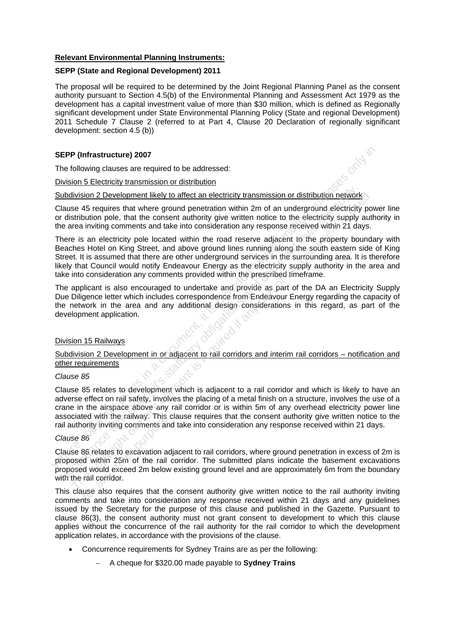#### **Relevant Environmental Planning Instruments:**

#### **SEPP (State and Regional Development) 2011**

The proposal will be required to be determined by the Joint Regional Planning Panel as the consent authority pursuant to Section 4.5(b) of the Environmental Planning and Assessment Act 1979 as the development has a capital investment value of more than \$30 million, which is defined as Regionally significant development under State Environmental Planning Policy (State and regional Development) 2011 Schedule 7 Clause 2 (referred to at Part 4, Clause 20 Declaration of regionally significant development: section 4.5 (b))

#### **SEPP (Infrastructure) 2007**

The following clauses are required to be addressed:

#### Division 5 Electricity transmission or distribution

#### Subdivision 2 Development likely to affect an electricity transmission or distribution network

Clause 45 requires that where ground penetration within 2m of an underground electricity power line or distribution pole, that the consent authority give written notice to the electricity supply authority in the area inviting comments and take into consideration any response received within 21 days.

There is an electricity pole located within the road reserve adjacent to the property boundary with Beaches Hotel on King Street, and above ground lines running along the south eastern side of King Street. It is assumed that there are other underground services in the surrounding area. It is therefore likely that Council would notify Endeavour Energy as the electricity supply authority in the area and take into consideration any comments provided within the prescribed timeframe. SEPP (Infrastructure) 2007<br>
The following clauses are required to be addressed:<br>
<u>Division 5 Electrichy transmission or distribution</u><br>
Sixtedion Sixtedion Interaction or distribution<br>
Sixtedivision 2 Development likely to bdivision 2 Development likely to affect an electricity transmission or distribution network<br>ause 45 requires that where ground penetration within 2m of an underground electricity<br>distribution pole, that the consent author division 2 Development likely to affect an electricity transmission or distribution network<br>stribution pole, that where ground prenetation within 2m of an underground electricity supply aut<br>stribution pole, that the consen

The applicant is also encouraged to undertake and provide as part of the DA an Electricity Supply Due Diligence letter which includes correspondence from Endeavour Energy regarding the capacity of the network in the area and any additional design considerations in this regard, as part of the development application.

#### Division 15 Railways

Subdivision 2 Development in or adjacent to rail corridors and interim rail corridors - notification and other requirements

#### *Clause 85*

Clause 85 relates to development which is adjacent to a rail corridor and which is likely to have an adverse effect on rail safety, involves the placing of a metal finish on a structure, involves the use of a crane in the airspace above any rail corridor or is within 5m of any overhead electricity power line associated with the railway. This clause requires that the consent authority give written notice to the rail authority inviting comments and take into consideration any response received within 21 days.

#### *Clause 86*

Clause 86 relates to excavation adjacent to rail corridors, where ground penetration in excess of 2m is proposed within 25m of the rail corridor. The submitted plans indicate the basement excavations proposed would exceed 2m below existing ground level and are approximately 6m from the boundary with the rail corridor. For any ority inviting comments an<br>86<br>86 relates to excavation aced within 25m of the rail<br>and would exceed 2m below<br>19 rail corridor.<br>The also requires that the<br>the and take into consider

This clause also requires that the consent authority give written notice to the rail authority inviting comments and take into consideration any response received within 21 days and any guidelines issued by the Secretary for the purpose of this clause and published in the Gazette. Pursuant to clause 86(3), the consent authority must not grant consent to development to which this clause applies without the concurrence of the rail authority for the rail corridor to which the development application relates, in accordance with the provisions of the clause.

- Concurrence requirements for Sydney Trains are as per the following:
	- − A cheque for \$320.00 made payable to **Sydney Trains**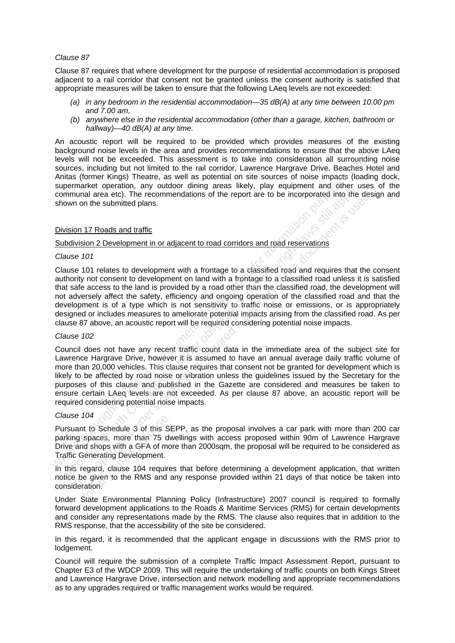#### *Clause 87*

Clause 87 requires that where development for the purpose of residential accommodation is proposed adjacent to a rail corridor that consent not be granted unless the consent authority is satisfied that appropriate measures will be taken to ensure that the following LAeq levels are not exceeded:

- *(a) in any bedroom in the residential accommodation—35 dB(A) at any time between 10.00 pm and 7.00 am,*
- *(b) anywhere else in the residential accommodation (other than a garage, kitchen, bathroom or hallway)—40 dB(A) at any time.*

An acoustic report will be required to be provided which provides measures of the existing background noise levels in the area and provides recommendations to ensure that the above LAeq levels will not be exceeded. This assessment is to take into consideration all surrounding noise sources, including but not limited to the rail corridor, Lawrence Hargrave Drive, Beaches Hotel and Anitas (former Kings) Theatre, as well as potential on site sources of noise impacts (loading dock, supermarket operation, any outdoor dining areas likely, play equipment and other uses of the communal area etc). The recommendations of the report are to be incorporated into the design and shown on the submitted plans. background noise levels in the area and provides recommendations to ensure that the above<br>beyts will not be exceeded. This assessment is to take into consideration all surrounding<br>sources, including but not limited to the

#### Division 17 Roads and traffic

#### Subdivision 2 Development in or adjacent to road corridors and road reservations

#### *Clause 101*

Clause 101 relates to development with a frontage to a classified road and requires that the consent authority not consent to development on land with a frontage to a classified road unless it is satisfied that safe access to the land is provided by a road other than the classified road, the development will not adversely affect the safety, efficiency and ongoing operation of the classified road and that the development is of a type which is not sensitivity to traffic noise or emissions, or is appropriately designed or includes measures to ameliorate potential impacts arising from the classified road. As per clause 87 above, an acoustic report will be required considering potential noise impacts. be the mand outer the transmit and outer the report and outer user in the momental area etc). The recommendations of the report are to be incorporated into the own on the submitted plans.<br>
Sision 17 Roads and traffic<br>
abdi munal area etc). The recommendations of the report are to be incorporated into the desi<br>
ion 17 Roads and traffic<br>
ion 17 Roads and traffic<br>
ion 17 Roads and traffic<br>
division 2 Development in or adjacent to road corridors

#### *Clause 102*

Council does not have any recent traffic count data in the immediate area of the subject site for Lawrence Hargrave Drive, however it is assumed to have an annual average daily traffic volume of more than 20,000 vehicles. This clause requires that consent not be granted for development which is likely to be affected by road noise or vibration unless the quidelines issued by the Secretary for the purposes of this clause and published in the Gazette are considered and measures be taken to ensure certain LAeq levels are not exceeded. As per clause 87 above, an acoustic report will be required considering potential noise impacts.

#### *Clause 104*

Pursuant to Schedule 3 of this SEPP, as the proposal involves a car park with more than 200 car parking spaces, more than 75 dwellings with access proposed within 90m of Lawrence Hargrave Drive and shops with a GFA of more than 2000sqm, the proposal will be required to be considered as Traffic Generating Development. For any other and the Sepaces, more than 75 dv<br>and shops with a GFA of mc<br>Senerating Development.<br>regard, clause 104 require<br>given to the RMS and ration.<br>State Environmental Plan

In this regard, clause 104 requires that before determining a development application, that written notice be given to the RMS and any response provided within 21 days of that notice be taken into consideration.

Under State Environmental Planning Policy (Infrastructure) 2007 council is required to formally forward development applications to the Roads & Maritime Services (RMS) for certain developments and consider any representations made by the RMS. The clause also requires that in addition to the RMS response, that the accessibility of the site be considered.

In this regard, it is recommended that the applicant engage in discussions with the RMS prior to lodgement.

Council will require the submission of a complete Traffic Impact Assessment Report, pursuant to Chapter E3 of the WDCP 2009. This will require the undertaking of traffic counts on both Kings Street and Lawrence Hargrave Drive, intersection and network modelling and appropriate recommendations as to any upgrades required or traffic management works would be required.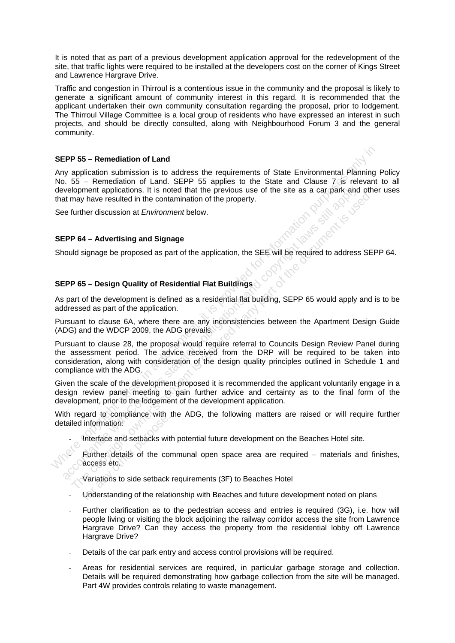It is noted that as part of a previous development application approval for the redevelopment of the site, that traffic lights were required to be installed at the developers cost on the corner of Kings Street and Lawrence Hargrave Drive.

Traffic and congestion in Thirroul is a contentious issue in the community and the proposal is likely to generate a significant amount of community interest in this regard. It is recommended that the applicant undertaken their own community consultation regarding the proposal, prior to lodgement. The Thirroul Village Committee is a local group of residents who have expressed an interest in such projects, and should be directly consulted, along with Neighbourhood Forum 3 and the general community.

#### **SEPP 55 – Remediation of Land**

Any application submission is to address the requirements of State Environmental Planning Policy No. 55 – Remediation of Land. SEPP 55 applies to the State and Clause 7 is relevant to all development applications. It is noted that the previous use of the site as a car park and other uses that may have resulted in the contamination of the property.

See further discussion at *Environment* below.

#### **SEPP 64 – Advertising and Signage**

Should signage be proposed as part of the application, the SEE will be required to address SEPP 64.

#### **SEPP 65 – Design Quality of Residential Flat Buildings**

As part of the development is defined as a residential flat building, SEPP 65 would apply and is to be addressed as part of the application.

Pursuant to clause 6A, where there are any inconsistencies between the Apartment Design Guide (ADG) and the WDCP 2009, the ADG prevails.

Pursuant to clause 28, the proposal would require referral to Councils Design Review Panel during the assessment period. The advice received from the DRP will be required to be taken into consideration, along with consideration of the design quality principles outlined in Schedule 1 and compliance with the ADG. **SEPP 55 – Remediation of Land**<br>
Any application submission is to address the requirements of State Environmental Planning<br>
No. 55 – Remediation of Land. SEPP 55 applies to the State and Clause 7 is relevant<br>
that may hav (a) welopment applications. It is noted that the previous use of the site as a car park and<br>
the may have resulted in the contamination of the property.<br>
EPP 64 – Advertising and Signage<br>
EPP 65 – Design Quality of Reside methem of the consentiation of the property.<br>The consenting and Signage<br> **P64 – Advertising and Signage**<br> **P65 – Design Quality of Residential Flat Buildings**<br> **P65 – Design Quality of Residential Flat Buildings**<br>
and to d

Given the scale of the development proposed it is recommended the applicant voluntarily engage in a design review panel meeting to gain further advice and certainty as to the final form of the development, prior to the lodgement of the development application.

With regard to compliance with the ADG, the following matters are raised or will require further detailed information:

- Interface and setbacks with potential future development on the Beaches Hotel site.

Further details of the communal open space area are required  $-$  materials and finishes, access etc. Formation:<br>Information:<br>Interface and setbacks with<br>Further details of the condicess etc.<br>Variations to side setback<br>Understanding of the relat

Variations to side setback requirements (3F) to Beaches Hotel

- Understanding of the relationship with Beaches and future development noted on plans
- Further clarification as to the pedestrian access and entries is required (3G), i.e. how will people living or visiting the block adjoining the railway corridor access the site from Lawrence Hargrave Drive? Can they access the property from the residential lobby off Lawrence Hargrave Drive?
- Details of the car park entry and access control provisions will be required.
- Areas for residential services are required, in particular garbage storage and collection. Details will be required demonstrating how garbage collection from the site will be managed. Part 4W provides controls relating to waste management.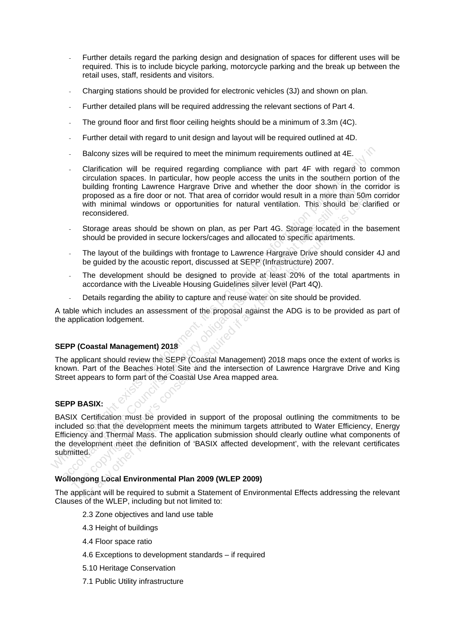- Further details regard the parking design and designation of spaces for different uses will be required. This is to include bicycle parking, motorcycle parking and the break up between the retail uses, staff, residents and visitors.
- Charging stations should be provided for electronic vehicles (3J) and shown on plan.
- Further detailed plans will be required addressing the relevant sections of Part 4.
- The ground floor and first floor ceiling heights should be a minimum of 3.3m (4C).
- Further detail with regard to unit design and layout will be required outlined at 4D.
- Balcony sizes will be required to meet the minimum requirements outlined at 4E.
- Clarification will be required regarding compliance with part 4F with regard to common circulation spaces. In particular, how people access the units in the southern portion of the building fronting Lawrence Hargrave Drive and whether the door shown in the corridor is proposed as a fire door or not. That area of corridor would result in a more than 50m corridor with minimal windows or opportunities for natural ventilation. This should be clarified or reconsidered. Balcony sizes will be required to meet the minimum requirements outlined at 4E.<br>
Critatication will be required regarding compliance with part 4F with regard to cordination spaces. In particular, how people access the unit
	- Storage areas should be shown on plan, as per Part 4G. Storage located in the basement should be provided in secure lockers/cages and allocated to specific apartments.
	- The layout of the buildings with frontage to Lawrence Hargrave Drive should consider 4J and be guided by the acoustic report, discussed at SEPP (Infrastructure) 2007.
	- The development should be designed to provide at least 20% of the total apartments in accordance with the Liveable Housing Guidelines silver level (Part 4Q).
	- Details regarding the ability to capture and reuse water on site should be provided.

A table which includes an assessment of the proposal against the ADG is to be provided as part of the application lodgement.

#### **SEPP (Coastal Management) 2018**

The applicant should review the SEPP (Coastal Management) 2018 maps once the extent of works is known. Part of the Beaches Hotel Site and the intersection of Lawrence Hargrave Drive and King Street appears to form part of the Coastal Use Area mapped area.

#### **SEPP BASIX:**

BASIX Certification must be provided in support of the proposal outlining the commitments to be included so that the development meets the minimum targets attributed to Water Efficiency, Energy Efficiency and Thermal Mass. The application submission should clearly outline what components of the development meet the definition of 'BASIX affected development', with the relevant certificates submitted. butting fromting Lawrence Hargrave Direct margins and whener the door shown in the proposed as a fire door or not. That area of corridor would result in a more than So with minimal windows or opportunities for natural vent proposed as a fire door or not. That area of corridor would result in a more than 50m with minimal windows or opportunities for natural ventilation. This should be clare the considered.<br>Storage areas should be shown on pla Certification must be prover<br>of so that the development<br>cy and Thermal Mass. The<br>elopment meet the definit<br>address the definit<br>going Local Environment:<br>blicant will be required to state in the MILED including by

#### **Wollongong Local Environmental Plan 2009 (WLEP 2009)**

The applicant will be required to submit a Statement of Environmental Effects addressing the relevant Clauses of the WLEP, including but not limited to:

- 2.3 Zone objectives and land use table
- 4.3 Height of buildings
- 4.4 Floor space ratio
- 4.6 Exceptions to development standards if required
- 5.10 Heritage Conservation
- 7.1 Public Utility infrastructure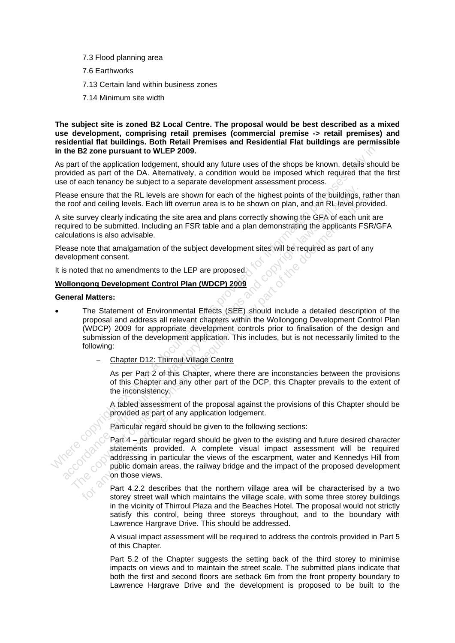- 7.3 Flood planning area
- 7.6 Earthworks
- 7.13 Certain land within business zones
- 7.14 Minimum site width

#### **The subject site is zoned B2 Local Centre. The proposal would be best described as a mixed use development, comprising retail premises (commercial premise -> retail premises) and residential flat buildings. Both Retail Premises and Residential Flat buildings are permissible in the B2 zone pursuant to WLEP 2009.**

As part of the application lodgement, should any future uses of the shops be known, details should be provided as part of the DA. Alternatively, a condition would be imposed which required that the first use of each tenancy be subject to a separate development assessment process.

Please ensure that the RL levels are shown for each of the highest points of the buildings, rather than the roof and ceiling levels. Each lift overrun area is to be shown on plan, and an RL level provided.

A site survey clearly indicating the site area and plans correctly showing the GFA of each unit are required to be submitted. Including an FSR table and a plan demonstrating the applicants FSR/GFA calculations is also advisable.

Please note that amalgamation of the subject development sites will be required as part of any development consent.

It is noted that no amendments to the LEP are proposed.

#### **Wollongong Development Control Plan (WDCP) 2009**

#### **General Matters:**

- The Statement of Environmental Effects (SEE) should include a detailed description of the proposal and address all relevant chapters within the Wollongong Development Control Plan (WDCP) 2009 for appropriate development controls prior to finalisation of the design and submission of the development application. This includes, but is not necessarily limited to the following: in the B2 zone pursuant to WLEP 2009.<br>
As part of the application logorent, should any future uses of the shops be known, details show<br>
provided as part of the DA. Alternatively, a condition would be imposed which require ease ensure that the RL levels are shown for each of the highest points of the buildings,<br>
rest esture with celebratic statutor are and plans correctly shown on plan, and an RL level pro<br>
digit survey detaily indicating th So ensure that the RL levels are shown for each of the highlest points of the buildings, rather and the course of the consent is ensurely clearly indicating the site area and plans correctly showing the GFA of each unit an
	- − Chapter D12: Thirroul Village Centre

As per Part 2 of this Chapter, where there are inconstancies between the provisions of this Chapter and any other part of the DCP, this Chapter prevails to the extent of the inconsistency.

A tabled assessment of the proposal against the provisions of this Chapter should be provided as part of any application lodgement.

Particular regard should be given to the following sections:

Part 4 – particular regard should be given to the existing and future desired character statements provided. A complete visual impact assessment will be required addressing in particular the views of the escarpment, water and Kennedys Hill from public domain areas, the railway bridge and the impact of the proposed development on those views. Particular regard<br>Part 4 – particular<br>statements provided<br>distances in particular<br>public domain are<br>on those views.<br>Part 4.2.2 described to the storey street wall

Part 4.2.2 describes that the northern village area will be characterised by a two storey street wall which maintains the village scale, with some three storey buildings in the vicinity of Thirroul Plaza and the Beaches Hotel. The proposal would not strictly satisfy this control, being three storeys throughout, and to the boundary with Lawrence Hargrave Drive. This should be addressed.

A visual impact assessment will be required to address the controls provided in Part 5 of this Chapter.

Part 5.2 of the Chapter suggests the setting back of the third storey to minimise impacts on views and to maintain the street scale. The submitted plans indicate that both the first and second floors are setback 6m from the front property boundary to Lawrence Hargrave Drive and the development is proposed to be built to the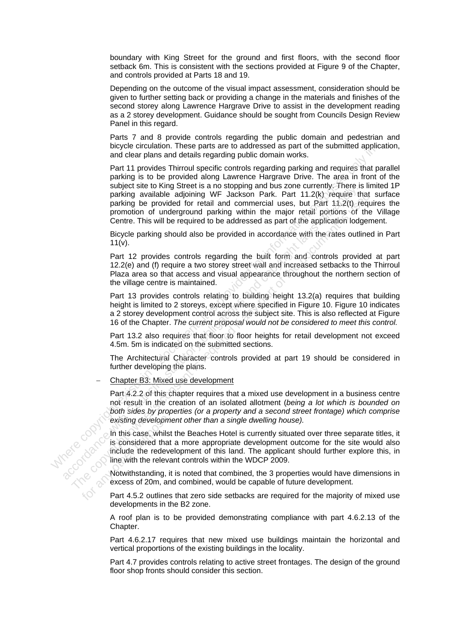boundary with King Street for the ground and first floors, with the second floor setback 6m. This is consistent with the sections provided at Figure 9 of the Chapter, and controls provided at Parts 18 and 19.

Depending on the outcome of the visual impact assessment, consideration should be given to further setting back or providing a change in the materials and finishes of the second storey along Lawrence Hargrave Drive to assist in the development reading as a 2 storey development. Guidance should be sought from Councils Design Review Panel in this regard.

Parts 7 and 8 provide controls regarding the public domain and pedestrian and bicycle circulation. These parts are to addressed as part of the submitted application, and clear plans and details regarding public domain works.

Part 11 provides Thirroul specific controls regarding parking and requires that parallel parking is to be provided along Lawrence Hargrave Drive. The area in front of the subject site to King Street is a no stopping and bus zone currently. There is limited 1P parking available adjoining WF Jackson Park. Part 11.2(k) require that surface parking be provided for retail and commercial uses, but Part 11.2(t) requires the promotion of underground parking within the major retail portions of the Village Centre. This will be required to be addressed as part of the application lodgement. by the unit provides the base of sales are to sales and the paint of the southwest and details regarding public domain works.<br>
Part 11 provides Thirtonia specific controls regarding particular particular particular particu subject is to thing over the aid and commercial uses but their 11/2(k), require the parking be provided for retail and commercial uses, but Part 11/2(k), require the parking be provided for retail and conmercial uses, but

Bicycle parking should also be provided in accordance with the rates outlined in Part  $11(v)$ .

Part 12 provides controls regarding the built form and controls provided at part 12.2(e) and (f) require a two storey street wall and increased setbacks to the Thirroul Plaza area so that access and visual appearance throughout the northern section of the village centre is maintained.

Part 13 provides controls relating to building height 13.2(a) requires that building height is limited to 2 storeys, except where specified in Figure 10. Figure 10 indicates a 2 storey development control across the subject site. This is also reflected at Figure 16 of the Chapter. *The current proposal would not be considered to meet this control.*

Part 13.2 also requires that floor to floor heights for retail development not exceed 4.5m. 5m is indicated on the submitted sections.

The Architectural Character controls provided at part 19 should be considered in further developing the plans.

− Chapter B3: Mixed use development

Part 4.2.2 of this chapter requires that a mixed use development in a business centre not result in the creation of an isolated allotment (*being a lot which is bounded on both sides by properties (or a property and a second street frontage) which comprise existing development other than a single dwelling house).* 

In this case, whilst the Beaches Hotel is currently situated over three separate titles, it is considered that a more appropriate development outcome for the site would also include the redevelopment of this land. The applicant should further explore this, in line with the relevant controls within the WDCP 2009. parking available adjoining WF Jackson Park. Part 12.2(b) requires that the main commercial uses, but Part 11.2(t) require<br>promotion of underground parking within the major retail poticins of the<br>Centre. This will be requ accocococococococo

Notwithstanding, it is noted that combined, the 3 properties would have dimensions in excess of 20m, and combined, would be capable of future development.

Part 4.5.2 outlines that zero side setbacks are required for the majority of mixed use developments in the B2 zone.

A roof plan is to be provided demonstrating compliance with part 4.6.2.13 of the Chapter.

Part 4.6.2.17 requires that new mixed use buildings maintain the horizontal and vertical proportions of the existing buildings in the locality.

Part 4.7 provides controls relating to active street frontages. The design of the ground floor shop fronts should consider this section.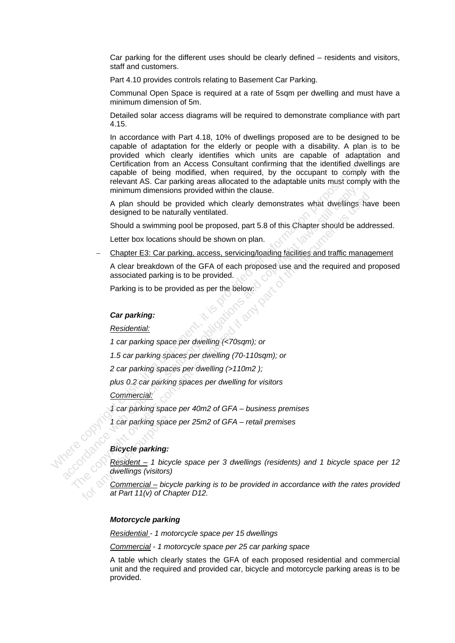Car parking for the different uses should be clearly defined – residents and visitors, staff and customers.

Part 4.10 provides controls relating to Basement Car Parking.

Communal Open Space is required at a rate of 5sqm per dwelling and must have a minimum dimension of 5m.

Detailed solar access diagrams will be required to demonstrate compliance with part 4.15.

In accordance with Part 4.18, 10% of dwellings proposed are to be designed to be capable of adaptation for the elderly or people with a disability. A plan is to be provided which clearly identifies which units are capable of adaptation and Certification from an Access Consultant confirming that the identified dwellings are capable of being modified, when required, by the occupant to comply with the relevant AS. Car parking areas allocated to the adaptable units must comply with the minimum dimensions provided within the clause. Construction of the mean comparison in the exist of the purpose with a matrix contribution for a matrix comparison to constraint constraint constraint constraint constraint constraint constraint constraint constraint cons

A plan should be provided which clearly demonstrates what dwellings have been designed to be naturally ventilated. minimum dimensions provided within the clause.<br>
A plan should be provided which clearly demonstrates what dwellings<br>
designed to be naturally ventilated.<br>
Should a swimming pool be proposed, part 5.8 of this Chapter should A plan should be provided which clearly demonstrates what dwellings have designed to be naturally ventilated.<br>
Should a swimming pool be proposed, part 5.8 of this Chapter should be addre<br>
Letter box locations should be sh

Should a swimming pool be proposed, part 5.8 of this Chapter should be addressed.

Letter box locations should be shown on plan.

− Chapter E3: Car parking, access, servicing/loading facilities and traffic management

A clear breakdown of the GFA of each proposed use and the required and proposed associated parking is to be provided.

Parking is to be provided as per the below:

#### *Car parking:*

*Residential:*

*1 car parking space per dwelling (<70sqm); or* 

*1.5 car parking spaces per dwelling (70-110sqm); or*

*2 car parking spaces per dwelling (>110m2 );* 

*plus 0.2 car parking spaces per dwelling for visitors*

*Commercial:* 

*1 car parking space per 40m2 of GFA – business premises* 

*1 car parking space per 25m2 of GFA – retail premises*

#### *Bicycle parking:*

accococc

*Resident – 1 bicycle space per 3 dwellings (residents) and 1 bicycle space per 12 dwellings (visitors)*

*Commercial – bicycle parking is to be provided in accordance with the rates provided at Part 11(v) of Chapter D12.* 

#### *Motorcycle parking*

*Residential - 1 motorcycle space per 15 dwellings* 

*Commercial - 1 motorcycle space per 25 car parking space*

A table which clearly states the GFA of each proposed residential and commercial unit and the required and provided car, bicycle and motorcycle parking areas is to be provided.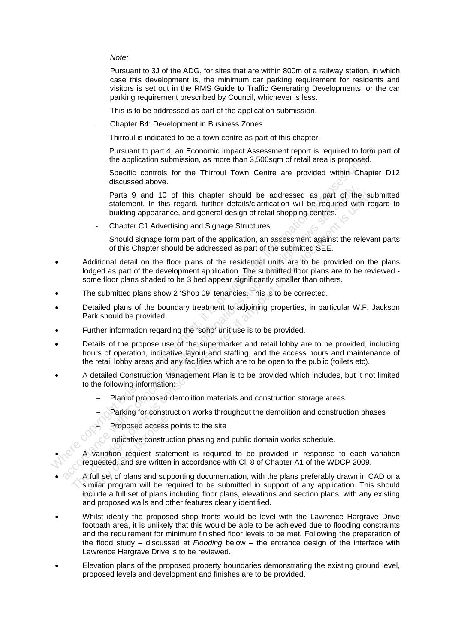*Note:* 

Pursuant to 3J of the ADG, for sites that are within 800m of a railway station, in which case this development is, the minimum car parking requirement for residents and visitors is set out in the RMS Guide to Traffic Generating Developments, or the car parking requirement prescribed by Council, whichever is less.

This is to be addressed as part of the application submission.

- Chapter B4: Development in Business Zones

Thirroul is indicated to be a town centre as part of this chapter.

Pursuant to part 4, an Economic Impact Assessment report is required to form part of the application submission, as more than 3,500sqm of retail area is proposed.

Specific controls for the Thirroul Town Centre are provided within Chapter D12 discussed above.

Parts 9 and 10 of this chapter should be addressed as part of the submitted statement. In this regard, further details/clarification will be required with regard to building appearance, and general design of retail shopping centres.

- Chapter C1 Advertising and Signage Structures

Should signage form part of the application, an assessment against the relevant parts of this Chapter should be addressed as part of the submitted SEE.

- Additional detail on the floor plans of the residential units are to be provided on the plans lodged as part of the development application. The submitted floor plans are to be reviewed some floor plans shaded to be 3 bed appear significantly smaller than others. Pursuant to part 4, an Economic Impact Assessment report is required to form<br>subclision subversion, as more than 3,500sqm of retail area is proposed.<br>Specific controls for the Thirroul Town Centre are provided within Chap Parts 9 and 10 of this chapter should be addressed as part of the statement. In this regard, further details/clarification will be required with be inducing appearance, and general design of retail shopping centres.<br>
<u>Chap</u> Parts 9 and 10 of this chapter should be addressed as part of the sully can<br>statement. In this regard, further details/clarification will be required with re-<br>building appearance, and general design of retail shopping cen
- The submitted plans show 2 'Shop 09' tenancies. This is to be corrected.
- Detailed plans of the boundary treatment to adjoining properties, in particular W.F. Jackson Park should be provided.
- Further information regarding the 'soho' unit use is to be provided.
- Details of the propose use of the supermarket and retail lobby are to be provided, including hours of operation, indicative layout and staffing, and the access hours and maintenance of the retail lobby areas and any facilities which are to be open to the public (toilets etc).
- A detailed Construction Management Plan is to be provided which includes, but it not limited to the following information:
	- − Plan of proposed demolition materials and construction storage areas
	- Parking for construction works throughout the demolition and construction phases
		- Proposed access points to the site
		- − Indicative construction phasing and public domain works schedule.

• A variation request statement is required to be provided in response to each variation requested, and are written in accordance with Cl. 8 of Chapter A1 of the WDCP 2009.

- A full set of plans and supporting documentation, with the plans preferably drawn in CAD or a similar program will be required to be submitted in support of any application. This should include a full set of plans including floor plans, elevations and section plans, with any existing and proposed walls and other features clearly identified. Proposed access<br>A variation request state<br>requested, and are written<br>A full set of plans and sup<br>similar program will be re<br>include a full set of plans i
- Whilst ideally the proposed shop fronts would be level with the Lawrence Hargrave Drive footpath area, it is unlikely that this would be able to be achieved due to flooding constraints and the requirement for minimum finished floor levels to be met. Following the preparation of the flood study – discussed at *Flooding* below – the entrance design of the interface with Lawrence Hargrave Drive is to be reviewed.
- Elevation plans of the proposed property boundaries demonstrating the existing ground level, proposed levels and development and finishes are to be provided.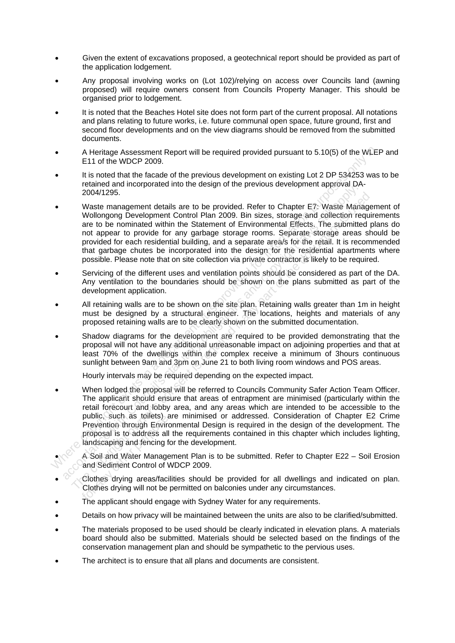- Given the extent of excavations proposed, a geotechnical report should be provided as part of the application lodgement.
- Any proposal involving works on (Lot 102)/relying on access over Councils land (awning proposed) will require owners consent from Councils Property Manager. This should be organised prior to lodgement.
- It is noted that the Beaches Hotel site does not form part of the current proposal. All notations and plans relating to future works, i.e. future communal open space, future ground, first and second floor developments and on the view diagrams should be removed from the submitted documents.
- A Heritage Assessment Report will be required provided pursuant to 5.10(5) of the WLEP and E11 of the WDCP 2009.
- It is noted that the facade of the previous development on existing Lot 2 DP 534253 was to be retained and incorporated into the design of the previous development approval DA-2004/1295.
- Waste management details are to be provided. Refer to Chapter E7: Waste Management of Wollongong Development Control Plan 2009. Bin sizes, storage and collection requirements are to be nominated within the Statement of Environmental Effects. The submitted plans do not appear to provide for any garbage storage rooms. Separate storage areas should be provided for each residential building, and a separate area/s for the retail. It is recommended that garbage chutes be incorporated into the design for the residential apartments where possible. Please note that on site collection via private contractor is likely to be required.
- Servicing of the different uses and ventilation points should be considered as part of the DA. Any ventilation to the boundaries should be shown on the plans submitted as part of the development application.
- All retaining walls are to be shown on the site plan. Retaining walls greater than 1m in height must be designed by a structural engineer. The locations, heights and materials of any proposed retaining walls are to be clearly shown on the submitted documentation.
- Shadow diagrams for the development are required to be provided demonstrating that the proposal will not have any additional unreasonable impact on adjoining properties and that at least 70% of the dwellings within the complex receive a minimum of 3hours continuous sunlight between 9am and 3pm on June 21 to both living room windows and POS areas.

Hourly intervals may be required depending on the expected impact.

- When lodged the proposal will be referred to Councils Community Safer Action Team Officer. The applicant should ensure that areas of entrapment are minimised (particularly within the retail forecourt and lobby area, and any areas which are intended to be accessible to the public, such as toilets) are minimised or addressed. Consideration of Chapter E2 Crime Prevention through Environmental Design is required in the design of the development. The proposal is to address all the requirements contained in this chapter which includes lighting, landscaping and fencing for the development. • A Heritage Assessment Report will be required provided pursuant to 5.10(5) of the WLEF<br>
• It is noted that the facade of the previous development on existing Lot 2 DP 534253 was<br>
retained and incorporated into the desig 2004/1295.<br>Waste management details are to be provided. Refer to Chapter E7: Wasie Mana<br>Wollongong Development Control Plan 2009. Bin sizes, storage and believing<br>are to be nominated within the Statement of Environmental E 2004/1295.<br>Waste management details are to be provided. Refer to Chapter E7: Waste Manager<br>Wollongong Development Control Plan 2009. Bin sizes, storage and collection require<br>are to be nominated within the Statement of Env public, such as tollets) a<br>Prevention through Environmental Prevention through Environmental<br>landscaping and fencing for<br>A Soil and Water Manage<br>and Sediment Control of V<br>Clothes drying areas/facil<br>Clothes drying will not
	- A Soil and Water Management Plan is to be submitted. Refer to Chapter E22 Soil Erosion and Sediment Control of WDCP 2009.
- Clothes drying areas/facilities should be provided for all dwellings and indicated on plan. Clothes drying will not be permitted on balconies under any circumstances.
- The applicant should engage with Sydney Water for any requirements.
- Details on how privacy will be maintained between the units are also to be clarified/submitted.
- The materials proposed to be used should be clearly indicated in elevation plans. A materials board should also be submitted. Materials should be selected based on the findings of the conservation management plan and should be sympathetic to the pervious uses.
- The architect is to ensure that all plans and documents are consistent.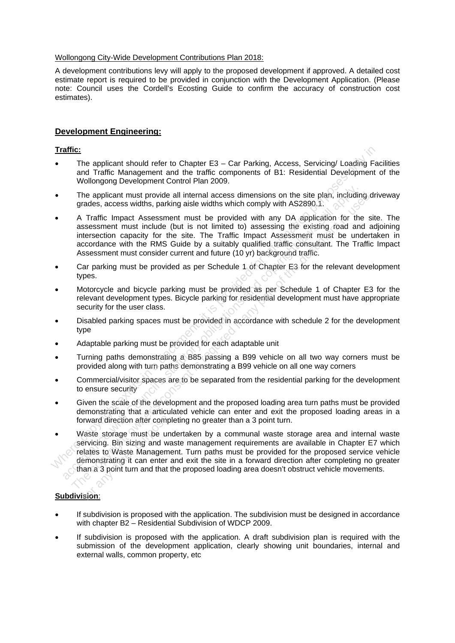#### Wollongong City-Wide Development Contributions Plan 2018:

A development contributions levy will apply to the proposed development if approved. A detailed cost estimate report is required to be provided in conjunction with the Development Application. (Please note: Council uses the Cordell's Ecosting Guide to confirm the accuracy of construction cost estimates).

#### **Development Engineering:**

#### **Traffic:**

- The applicant should refer to Chapter E3 Car Parking, Access, Servicing/ Loading Facilities and Traffic Management and the traffic components of B1: Residential Development of the Wollongong Development Control Plan 2009.
- The applicant must provide all internal access dimensions on the site plan, including driveway grades, access widths, parking aisle widths which comply with AS2890.1.
- A Traffic Impact Assessment must be provided with any DA application for the site. The assessment must include (but is not limited to) assessing the existing road and adjoining intersection capacity for the site. The Traffic Impact Assessment must be undertaken in accordance with the RMS Guide by a suitably qualified traffic consultant. The Traffic Impact Assessment must consider current and future (10 yr) background traffic. Traffic:<br>
Traffic:<br>
The applicant should refer to Chapter E3 – Car Parking, Access, Servicing/ Loading Fa<br>
and Traffic Management and the traffic components of B1: Residential Development<br>
Wollongong Development Control Pi
- Car parking must be provided as per Schedule 1 of Chapter E3 for the relevant development types.
- Motorcycle and bicycle parking must be provided as per Schedule 1 of Chapter E3 for the relevant development types. Bicycle parking for residential development must have appropriate security for the user class.
- Disabled parking spaces must be provided in accordance with schedule 2 for the development type
- Adaptable parking must be provided for each adaptable unit
- Turning paths demonstrating a B85 passing a B99 vehicle on all two way corners must be provided along with turn paths demonstrating a B99 vehicle on all one way corners
- Commercial/visitor spaces are to be separated from the residential parking for the development to ensure security
- Given the scale of the development and the proposed loading area turn paths must be provided demonstrating that a articulated vehicle can enter and exit the proposed loading areas in a forward direction after completing no greater than a 3 point turn.
- Waste storage must be undertaken by a communal waste storage area and internal waste servicing. Bin sizing and waste management requirements are available in Chapter E7 which relates to Waste Management. Turn paths must be provided for the proposed service vehicle demonstrating it can enter and exit the site in a forward direction after completing no greater than a 3 point turn and that the proposed loading area doesn't obstruct vehicle movements. The applicant must provide all internal access dimensions on the site plan, including rades, access widths, parking aisle widths which comply with AS2890.1.<br>A Tarfitc impact Assessment must be provided with any DA applicat The applicant must provide all internal access dimensions on the site plan, including do<br>
grades, access widths, parking aisle widths which comply with AS2890.1.<br>
A Traffic lmpact Assessment must be provided with any DA a betward direction after comp<br>
Vaste storage must be un<br>
dervicing. Bin sizing and ware<br>
plates to Waste Managem<br>
demonstrating it can enter<br>
han a 3 point turn and that<br>
ision:

#### **Subdivision**:

- If subdivision is proposed with the application. The subdivision must be designed in accordance with chapter B2 – Residential Subdivision of WDCP 2009.
- If subdivision is proposed with the application. A draft subdivision plan is required with the submission of the development application, clearly showing unit boundaries, internal and external walls, common property, etc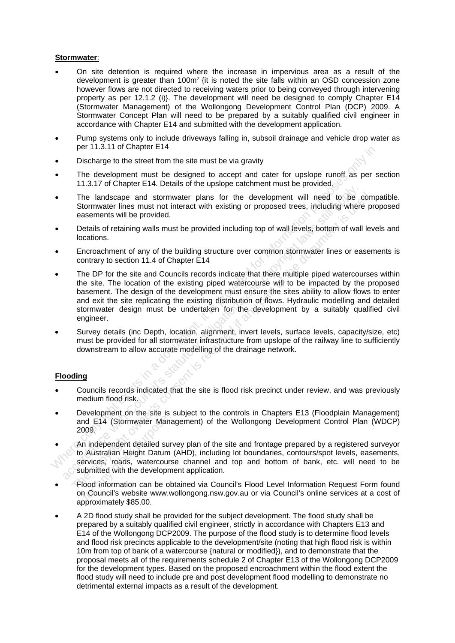#### **Stormwater**:

- On site detention is required where the increase in impervious area as a result of the development is greater than  $100m^2$  {it is noted the site falls within an OSD concession zone however flows are not directed to receiving waters prior to being conveyed through intervening property as per 12.1.2 (i)}. The development will need be designed to comply Chapter E14 (Stormwater Management) of the Wollongong Development Control Plan (DCP) 2009. A Stormwater Concept Plan will need to be prepared by a suitably qualified civil engineer in accordance with Chapter E14 and submitted with the development application.
- Pump systems only to include driveways falling in, subsoil drainage and vehicle drop water as per 11.3.11 of Chapter E14
- Discharge to the street from the site must be via gravity
- The development must be designed to accept and cater for upslope runoff as per section 11.3.17 of Chapter E14. Details of the upslope catchment must be provided.
- The landscape and stormwater plans for the development will need to be compatible. Stormwater lines must not interact with existing or proposed trees, including where proposed easements will be provided.
- Details of retaining walls must be provided including top of wall levels, bottom of wall levels and locations.
- Encroachment of any of the building structure over common stormwater lines or easements is contrary to section 11.4 of Chapter E14
- The DP for the site and Councils records indicate that there multiple piped watercourses within the site. The location of the existing piped watercourse will to be impacted by the proposed basement. The design of the development must ensure the sites ability to allow flows to enter and exit the site replicating the existing distribution of flows. Hydraulic modelling and detailed stormwater design must be undertaken for the development by a suitably qualified civil engineer. purification of the site in a document of the site in a document of the site and for the site and state in a document in a document in the site in a document in the site in a document in the site in a document in a documen The landscape and stormwater plans for the development will need to be commenter lines must not interact with existing or proposed trees, including where<br>easements will be provided.<br>Details of retaining walls must be provi The landscape and stormwater plans for the development will need to be comsumentes innes must not interact with existing or proposed trees, including where processements will be provided.<br>Details of retaining walls must b
- Survey details (inc Depth, location, alignment, invert levels, surface levels, capacity/size, etc) must be provided for all stormwater infrastructure from upslope of the railway line to sufficiently downstream to allow accurate modelling of the drainage network.

#### **Flooding**

- Councils records indicated that the site is flood risk precinct under review, and was previously medium flood risk.
- Development on the site is subject to the controls in Chapters E13 (Floodplain Management) and E14 (Stormwater Management) of the Wollongong Development Control Plan (WDCP) 2009.
- An independent detailed survey plan of the site and frontage prepared by a registered surveyor to Australian Height Datum (AHD), including lot boundaries, contours/spot levels, easements, services, roads, watercourse channel and top and bottom of bank, etc. will need to be submitted with the development application. nd E14 (Stormwater Man<br>
009.<br>
n independent detailed suppose.<br>
n Australian Height Datum<br>
ervices, roads, watercour<br>
ubmitted with the developn<br>
lood information can be ol<br>
n Council's website www.v
- Flood information can be obtained via Council's Flood Level Information Request Form found on Council's website www.wollongong.nsw.gov.au or via Council's online services at a cost of approximately \$85.00.
- A 2D flood study shall be provided for the subject development. The flood study shall be prepared by a suitably qualified civil engineer, strictly in accordance with Chapters E13 and E14 of the Wollongong DCP2009. The purpose of the flood study is to determine flood levels and flood risk precincts applicable to the development/site (noting that high flood risk is within 10m from top of bank of a watercourse {natural or modified}), and to demonstrate that the proposal meets all of the requirements schedule 2 of Chapter E13 of the Wollongong DCP2009 for the development types. Based on the proposed encroachment within the flood extent the flood study will need to include pre and post development flood modelling to demonstrate no detrimental external impacts as a result of the development.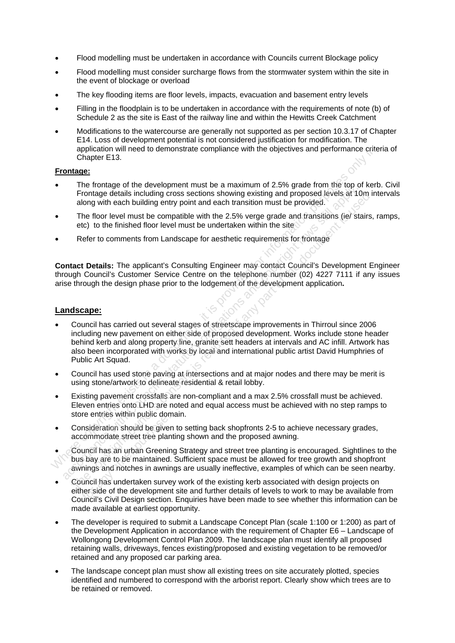- Flood modelling must be undertaken in accordance with Councils current Blockage policy
- Flood modelling must consider surcharge flows from the stormwater system within the site in the event of blockage or overload
- The key flooding items are floor levels, impacts, evacuation and basement entry levels
- Filling in the floodplain is to be undertaken in accordance with the requirements of note (b) of Schedule 2 as the site is East of the railway line and within the Hewitts Creek Catchment
- Modifications to the watercourse are generally not supported as per section 10.3.17 of Chapter E14. Loss of development potential is not considered justification for modification. The application will need to demonstrate compliance with the objectives and performance criteria of Chapter E13.

#### **Frontage:**

- The frontage of the development must be a maximum of 2.5% grade from the top of kerb. Civil Frontage details including cross sections showing existing and proposed levels at 10m intervals along with each building entry point and each transition must be provided.
- The floor level must be compatible with the 2.5% verge grade and transitions (ie) stairs, ramps, etc) to the finished floor level must be undertaken within the site
- Refer to comments from Landscape for aesthetic requirements for frontage

**Contact Details:** The applicant's Consulting Engineer may contact Council's Development Engineer through Council's Customer Service Centre on the telephone number (02) 4227 7111 if any issues arise through the design phase prior to the lodgement of the development application**.** 

#### **Landscape:**

- Council has carried out several stages of streetscape improvements in Thirroul since 2006 including new pavement on either side of proposed development. Works include stone header behind kerb and along property line, granite sett headers at intervals and AC infill. Artwork has also been incorporated with works by local and international public artist David Humphries of Public Art Squad. splication will need to demonstrate compliance with the objectives and performance crite<br>
Frontage:<br>
• The frontage of the development must be a maximum of 2.5% grade from this top of kerb<br>
• The frontage details including From the means the corother method in the case of the council of the council of Frontage details including entry point and each transition must be provided.<br>The floor level must be compatible with the 2.5% verge grade and Frontige details including cross sections showing existing and proposed levels at 10m in<br>along with each building entry point and each transition must be provided.<br>The floor level must be compatible with the 2.5% verge gra
- Council has used stone paving at intersections and at major nodes and there may be merit is using stone/artwork to delineate residential & retail lobby.
- Existing pavement crossfalls are non-compliant and a max 2.5% crossfall must be achieved. Eleven entries onto LHD are noted and equal access must be achieved with no step ramps to store entries within public domain.
- Consideration should be given to setting back shopfronts 2-5 to achieve necessary grades, accommodate street tree planting shown and the proposed awning.
- Council has an urban Greening Strategy and street tree planting is encouraged. Sightlines to the bus bay are to be maintained. Sufficient space must be allowed for tree growth and shopfront awnings and notches in awnings are usually ineffective, examples of which can be seen nearby. For animals whall pashe dones<br>
msideration should be give<br>
commodate street tree plan<br>
uncil has an urban Greenin<br>
s bay are to be maintained<br>
nings and notches in awnin<br>
uncil has undertaken surve<br>
ner side of the develop
- Council has undertaken survey work of the existing kerb associated with design projects on either side of the development site and further details of levels to work to may be available from Council's Civil Design section. Enquiries have been made to see whether this information can be made available at earliest opportunity.
- The developer is required to submit a Landscape Concept Plan (scale 1:100 or 1:200) as part of the Development Application in accordance with the requirement of Chapter E6 – Landscape of Wollongong Development Control Plan 2009. The landscape plan must identify all proposed retaining walls, driveways, fences existing/proposed and existing vegetation to be removed/or retained and any proposed car parking area.
- The landscape concept plan must show all existing trees on site accurately plotted, species identified and numbered to correspond with the arborist report. Clearly show which trees are to be retained or removed.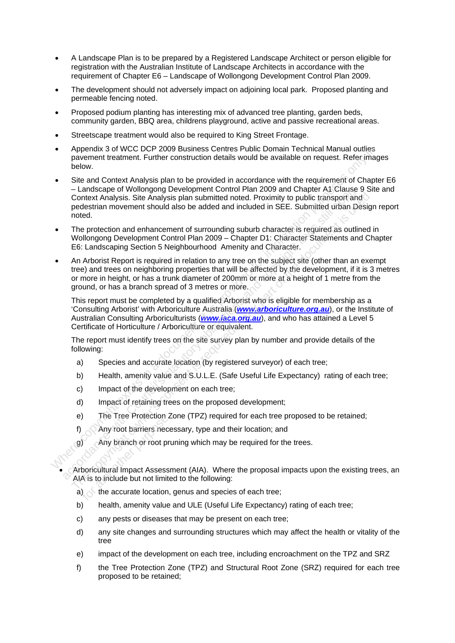- A Landscape Plan is to be prepared by a Registered Landscape Architect or person eligible for registration with the Australian Institute of Landscape Architects in accordance with the requirement of Chapter E6 – Landscape of Wollongong Development Control Plan 2009.
- The development should not adversely impact on adjoining local park. Proposed planting and permeable fencing noted.
- Proposed podium planting has interesting mix of advanced tree planting, garden beds, community garden, BBQ area, childrens playground, active and passive recreational areas.
- Streetscape treatment would also be required to King Street Frontage.
- Appendix 3 of WCC DCP 2009 Business Centres Public Domain Technical Manual outlies pavement treatment. Further construction details would be available on request. Refer images below.
- Site and Context Analysis plan to be provided in accordance with the requirement of Chapter E6 – Landscape of Wollongong Development Control Plan 2009 and Chapter A1 Clause 9 Site and Context Analysis. Site Analysis plan submitted noted. Proximity to public transport and pedestrian movement should also be added and included in SEE. Submitted urban Design report noted. A papen[t](http://www.iaca.org.au/)ial 3 of World DCP 2009 Business Centres Public Domain Technical Manual outlies<br>
payement treatment CHUME construction details would be available on request. Refer image<br>
below.<br>
Since and Context Analysis plan to
- The protection and enhancement of surrounding suburb character is required as outlined in Wollongong Development Control Plan 2009 – Chapter D1: Character Statements and Chapter E6: Landscaping Section 5 Neighbourhood Amenity and Character.
- An Arborist Report is required in relation to any tree on the subject site (other than an exempt tree) and trees on neighboring properties that will be affected by the development, if it is 3 metres or more in height, or has a trunk diameter of 200mm or more at a height of 1 metre from the ground, or has a branch spread of 3 metres or more. - Landscape of Wollongrong Development Control Plan 2009 and Chapter A1 Clause 9 and<br>chapter And Chause the probably than the control Phan 2009 and Chapter A1 Clause pedestrian movement should also be added and included in Context Analysis. Site Analysis plan submitted noted. Proximity to public transport and<br>poted.<br>The protection and enhancement of surrounding suburb character is required as outlined in<br>the column overner form of the docume

This report must be completed by a qualified Arborist who is eligible for membership as a 'Consulting Arborist' with Arboriculture Australia (*www.arboriculture.org.au*), or the Institute of Australian Consulting Arboriculturists (*www.iaca.org.au*), and who has attained a Level 5 Certificate of Horticulture / Arboriculture or equivalent.

The report must identify trees on the site survey plan by number and provide details of the following:

- a) Species and accurate location (by registered surveyor) of each tree;
- b) Health, amenity value and S.U.L.E. (Safe Useful Life Expectancy) rating of each tree;
- c) Impact of the development on each tree;
- d) Impact of retaining trees on the proposed development;
- e) The Tree Protection Zone (TPZ) required for each tree proposed to be retained;
- f) Any root barriers necessary, type and their location; and
- g) Any branch or root pruning which may be required for the trees.

• Arboricultural Impact Assessment (AIA). Where the proposal impacts upon the existing trees, an AIA is to include but not limited to the following: Free Protection 2<br>Any root barriers nece<br>Any branch or root protection<br>boricultural Impact Assess<br>A is to include but not limite<br>the accurate location,

- a)  $\bigcirc$  the accurate location, genus and species of each tree;
- b) health, amenity value and ULE (Useful Life Expectancy) rating of each tree;
- c) any pests or diseases that may be present on each tree;
- d) any site changes and surrounding structures which may affect the health or vitality of the tree
- e) impact of the development on each tree, including encroachment on the TPZ and SRZ
- f) the Tree Protection Zone (TPZ) and Structural Root Zone (SRZ) required for each tree proposed to be retained;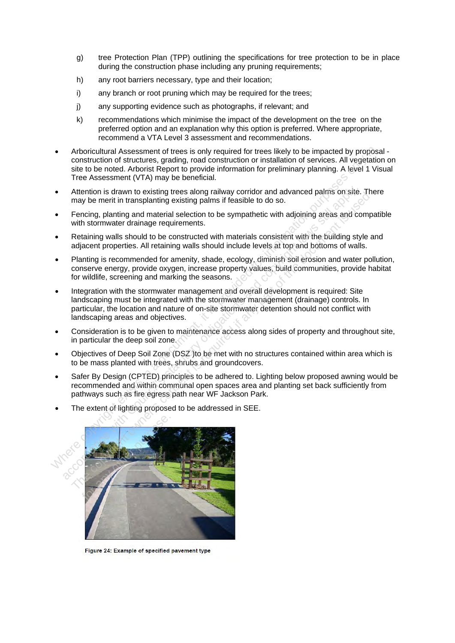- g) tree Protection Plan (TPP) outlining the specifications for tree protection to be in place during the construction phase including any pruning requirements;
- h) any root barriers necessary, type and their location;
- i) any branch or root pruning which may be required for the trees;
- j) any supporting evidence such as photographs, if relevant; and
- k) recommendations which minimise the impact of the development on the tree on the preferred option and an explanation why this option is preferred. Where appropriate, recommend a VTA Level 3 assessment and recommendations.
- Arboricultural Assessment of trees is only required for trees likely to be impacted by proposal construction of structures, grading, road construction or installation of services. All vegetation on site to be noted. Arborist Report to provide information for preliminary planning. A level 1 Visual Tree Assessment (VTA) may be beneficial. • Anoricultural Assessment of trees is only required for trees likely to be impacted by proposes. All vegetations is the to be noted. A hotoricity control provide information for preliminary planning. A level 1 Visible to
- Attention is drawn to existing trees along railway corridor and advanced palms on site. There may be merit in transplanting existing palms if feasible to do so.
- Fencing, planting and material selection to be sympathetic with adjoining areas and compatible with stormwater drainage requirements.
- Retaining walls should to be constructed with materials consistent with the building style and adjacent properties. All retaining walls should include levels at top and bottoms of walls.
- Planting is recommended for amenity, shade, ecology, diminish soil erosion and water pollution, conserve energy, provide oxygen, increase property values, build communities, provide habitat for wildlife, screening and marking the seasons.
- Integration with the stormwater management and overall development is required: Site landscaping must be integrated with the stormwater management (drainage) controls. In particular, the location and nature of on-site stormwater detention should not conflict with landscaping areas and objectives.
- Consideration is to be given to maintenance access along sides of property and throughout site, in particular the deep soil zone.
- Objectives of Deep Soil Zone (DSZ )to be met with no structures contained within area which is to be mass planted with trees, shrubs and groundcovers.
- Safer By Design (CPTED) principles to be adhered to. Lighting below proposed awning would be recommended and within communal open spaces area and planting set back sufficiently from pathways such as fire egress path near WF Jackson Park.
- The extent of lighting proposed to be addressed in SEE.

![](_page_16_Picture_15.jpeg)

Figure 24: Example of specified pavement type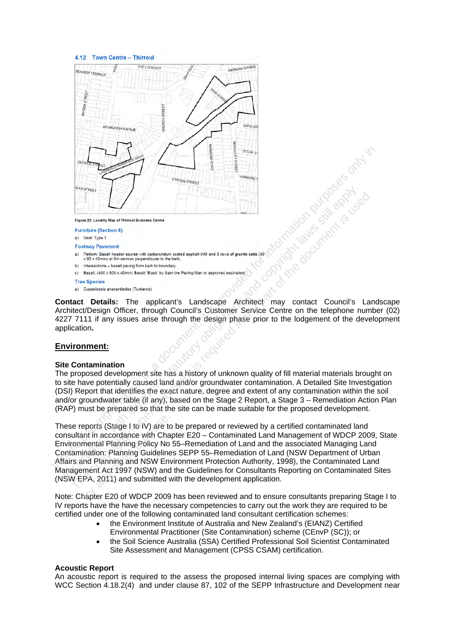#### 4.12 Town Centre - Thirroul

![](_page_17_Figure_1.jpeg)

- 
- 
- 
- 
- 

**Contact Details:** The applicant's Landscape Architect may contact Council's Landscape Architect/Design Officer, through Council's Customer Service Centre on the telephone number (02) 4227 7111 if any issues arise through the design phase prior to the lodgement of the development application**.** 

#### **Environment:**

#### **Site Contamination**

The proposed development site has a history of unknown quality of fill material materials brought on to site have potentially caused land and/or groundwater contamination. A Detailed Site Investigation (DSI) Report that identifies the exact nature, degree and extent of any contamination within the soil and/or groundwater table (if any), based on the Stage 2 Report, a Stage 3 – Remediation Action Plan (RAP) must be prepared so that the site can be made suitable for the proposed development.

These reports (Stage I to IV) are to be prepared or reviewed by a certified contaminated land consultant in accordance with Chapter E20 – Contaminated Land Management of WDCP 2009, State Environmental Planning Policy No 55–Remediation of Land and the associated Managing Land Contamination: Planning Guidelines SEPP 55–Remediation of Land (NSW Department of Urban Affairs and Planning and NSW Environment Protection Authority, 1998), the Contaminated Land Management Act 1997 (NSW) and the Guidelines for Consultants Reporting on Contaminated Sites (NSW EPA, 2011) and submitted with the development application. Where  $\overline{\text{W}}$  is the computation of the control in a document and control in a document of the state of  $\overline{\text{W}}$  is a document and control in a state of the state of the state of the state of the state of the state o From the consent with Council's statute of the consent is required in the consent of the consent is a measure of the consent is the consent is the consent is the consent is required in the consent is the consent is the con eports (Stage I to IV) are to<br>ant in accordance with Cha<br>mental Planning Policy No<br>ination: Planning Guideline<br>and Planning and NSW Env<br>ment Act 1997 (NSW) and<br>:PA, 2011) and submitted v<br>hapter E20 of WDCP 2009

Note: Chapter E20 of WDCP 2009 has been reviewed and to ensure consultants preparing Stage I to IV reports have the have the necessary competencies to carry out the work they are required to be certified under one of the following contaminated land consultant certification schemes:

- the Environment Institute of Australia and New Zealand's (EIANZ) Certified Environmental Practitioner (Site Contamination) scheme (CEnvP (SC)); or
- the Soil Science Australia (SSA) Certified Professional Soil Scientist Contaminated Site Assessment and Management (CPSS CSAM) certification.

#### **Acoustic Report**

An acoustic report is required to the assess the proposed internal living spaces are complying with WCC Section 4.18.2(4) and under clause 87, 102 of the SEPP Infrastructure and Development near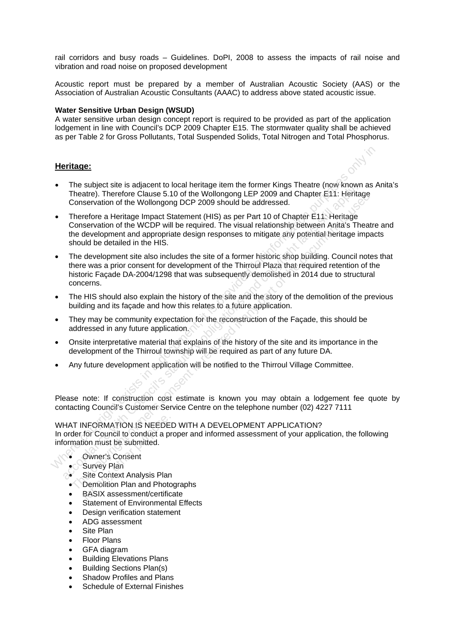rail corridors and busy roads – Guidelines. DoPI, 2008 to assess the impacts of rail noise and vibration and road noise on proposed development

Acoustic report must be prepared by a member of Australian Acoustic Society (AAS) or the Association of Australian Acoustic Consultants (AAAC) to address above stated acoustic issue.

#### **Water Sensitive Urban Design (WSUD)**

A water sensitive urban design concept report is required to be provided as part of the application lodgement in line with Council's DCP 2009 Chapter E15. The stormwater quality shall be achieved as per Table 2 for Gross Pollutants, Total Suspended Solids, Total Nitrogen and Total Phosphorus.

#### **Heritage:**

- The subject site is adjacent to local heritage item the former Kings Theatre (now known as Anita's Theatre). Therefore Clause 5.10 of the Wollongong LEP 2009 and Chapter E11: Heritage Conservation of the Wollongong DCP 2009 should be addressed.
- Therefore a Heritage Impact Statement (HIS) as per Part 10 of Chapter E11: Heritage Conservation of the WCDP will be required. The visual relationship between Anita's Theatre and the development and appropriate design responses to mitigate any potential heritage impacts should be detailed in the HIS.
- The development site also includes the site of a former historic shop building. Council notes that there was a prior consent for development of the Thirroul Plaza that required retention of the historic Façade DA-2004/1298 that was subsequently demolished in 2014 due to structural concerns. **Heritage:**<br>
■ The subject site is adjacent to local heritage item the former Kings Theatre (now known as Theatre). Therefore Clause 5.10 of the Wollongong LEP 2009 and Chapter E11: Heritage<br>
Conservation of the Wollongon The souplical three and properties of the Wollongong LEP 2009 and Chapter E11: Heritage<br>Conservation of the Wollongong DCP 2009 anolid be addressed.<br>
Conservation of the Wollongong DCP 2009 anolid be addressed.<br>
Conservati Thearte). Therefore Clause 5.10 of the Wollongong LEP 2009 and Chapter E11: Heritage<br>Conservation of the Wollongong DCP 2009 should be addressed.<br>Therefore a Heritage Impact Statement (HIS) as per Part 10 of Chapter E11: H
- The HIS should also explain the history of the site and the story of the demolition of the previous building and its façade and how this relates to a future application.
- They may be community expectation for the reconstruction of the Façade, this should be addressed in any future application.
- Onsite interpretative material that explains of the history of the site and its importance in the development of the Thirroul township will be required as part of any future DA.
- Any future development application will be notified to the Thirroul Village Committee.

Please note: If construction cost estimate is known you may obtain a lodgement fee quote by contacting Council's Customer Service Centre on the telephone number (02) 4227 7111

WHAT INFORMATION IS NEEDED WITH A DEVELOPMENT APPLICATION? In order for Council to conduct a proper and informed assessment of your application, the following information must be submitted. NFORMATION IS NEEDE<br>for Council to conduct a p<br>tion must be submitted.<br>Owner's Consent<br>Survey Plan<br>Site Context Analysis Plan<br>Demolition Plan and Photo<br>BASIX assessment/certific

- Owner's Consent
- Survey Plan
- 
- Site Context Analysis Plan<br>• Demolition Plan and Photo • Demolition Plan and Photographs
- BASIX assessment/certificate
- Statement of Environmental Effects
- Design verification statement
- ADG assessment
- Site Plan
- Floor Plans
- GFA diagram
- Building Elevations Plans
- Building Sections Plan(s)
- Shadow Profiles and Plans
- Schedule of External Finishes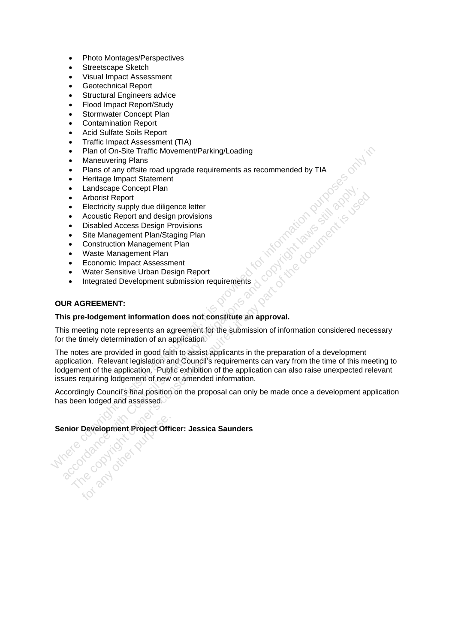- Photo Montages/Perspectives
- Streetscape Sketch
- Visual Impact Assessment
- Geotechnical Report
- Structural Engineers advice
- Flood Impact Report/Study
- Stormwater Concept Plan
- Contamination Report
- Acid Sulfate Soils Report
- Traffic Impact Assessment (TIA)
- Plan of On-Site Traffic Movement/Parking/Loading
- **Maneuvering Plans**
- Plans of any offsite road upgrade requirements as recommended by TIA
- Heritage Impact Statement
- Landscape Concept Plan
- Arborist Report
- Electricity supply due diligence letter
- Acoustic Report and design provisions
- Disabled Access Design Provisions
- Site Management Plan/Staging Plan
- Construction Management Plan
- Waste Management Plan
- Economic Impact Assessment
- Water Sensitive Urban Design Report
- Integrated Development submission requirements

#### **OUR AGREEMENT:**

Mren dat Liding

#### **This pre-lodgement information does not constitute an approval.**

This meeting note represents an agreement for the submission of information considered necessary for the timely determination of an application.

The notes are provided in good faith to assist applicants in the preparation of a development application. Relevant legislation and Council's requirements can vary from the time of this meeting to lodgement of the application. Public exhibition of the application can also raise unexpected relevant issues requiring lodgement of new or amended information. • Plan of On-Sile Traffic Movement/Parking/Loading<br>• Maneuvering Plans<br>• Plans of any offstie road upgrade requirements as recommended by TIA<br>• Heritage mpact Statement<br>• Landscape Concept Plan<br>• Arborist Report<br>• Electric And Council's statutory obligation and council's statutory obligation and council conserved and consent application and consent is the Maria Consent Consent is the Maria Consent is required that a magnetic Plan Constructio

Accordingly Council's final position on the proposal can only be made once a development application has been lodged and assessed.

**Senior Development Project Officer: Jessica Saunders**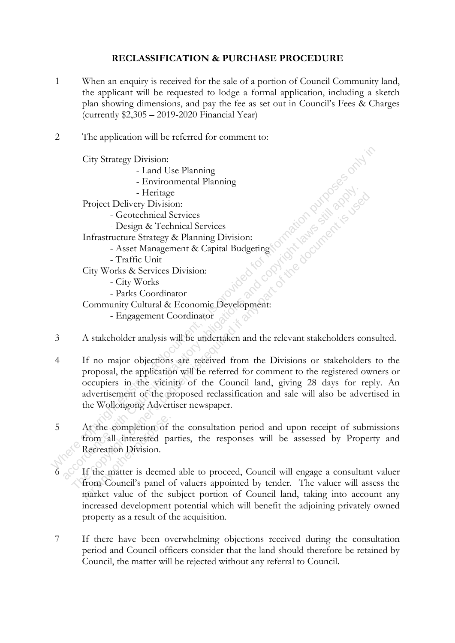### **RECLASSIFICATION & PURCHASE PROCEDURE**

- 1 When an enquiry is received for the sale of a portion of Council Community land, the applicant will be requested to lodge a formal application, including a sketch plan showing dimensions, and pay the fee as set out in Council's Fees & Charges (currently \$2,305 – 2019-2020 Financial Year)
- 2 The application will be referred for comment to:

City Strategy Division:

- Land Use Planning
- Environmental Planning
- Heritage

Project Delivery Division:

- Geotechnical Services
- Design & Technical Services
- Infrastructure Strategy & Planning Division:
- Asset Management & Capital Budgeting
- Traffic Unit

City Works & Services Division:

- City Works

- Parks Coordinator

Community Cultural & Economic Development:

- Engagement Coordinator
- 3 A stakeholder analysis will be undertaken and the relevant stakeholders consulted.
- 4 If no major objections are received from the Divisions or stakeholders to the proposal, the application will be referred for comment to the registered owners or occupiers in the vicinity of the Council land, giving 28 days for reply. An advertisement of the proposed reclassification and sale will also be advertised in the Wollongong Advertiser newspaper. City Strategy Division:<br>
- Land Use Planning<br>
- Evrironmental Planning<br>
- Heritage<br>
Project Delivery Division:<br>
- Geotechnical Services<br>
- Design & Technical Services<br>
Infrastructure Strategy & Planning Division:<br>
- Asst M Froject Delvice Strains and Services<br>
- Geotechnical Services<br>
Infrastructure Strategy & Planning Division:<br>
- Asset Management & Capital Budgeting<br>
- Traffic Unit<br>
City Works & Services Division:<br>
- Traffic Unit<br>
City Wor
- 5 At the completion of the consultation period and upon receipt of submissions from all interested parties, the responses will be assessed by Property and Recreation Division.
- If the matter is deemed able to proceed, Council will engage a consultant valuer from Council's panel of valuers appointed by tender. The valuer will assess the market value of the subject portion of Council land, taking into account any increased development potential which will benefit the adjoining privately owned property as a result of the acquisition. At the completion of<br>from all interested p:<br>Recreation Division.<br>If the matter is deeme<br>from Council's panel of<br>market value of the s
- 7 If there have been overwhelming objections received during the consultation period and Council officers consider that the land should therefore be retained by Council, the matter will be rejected without any referral to Council.